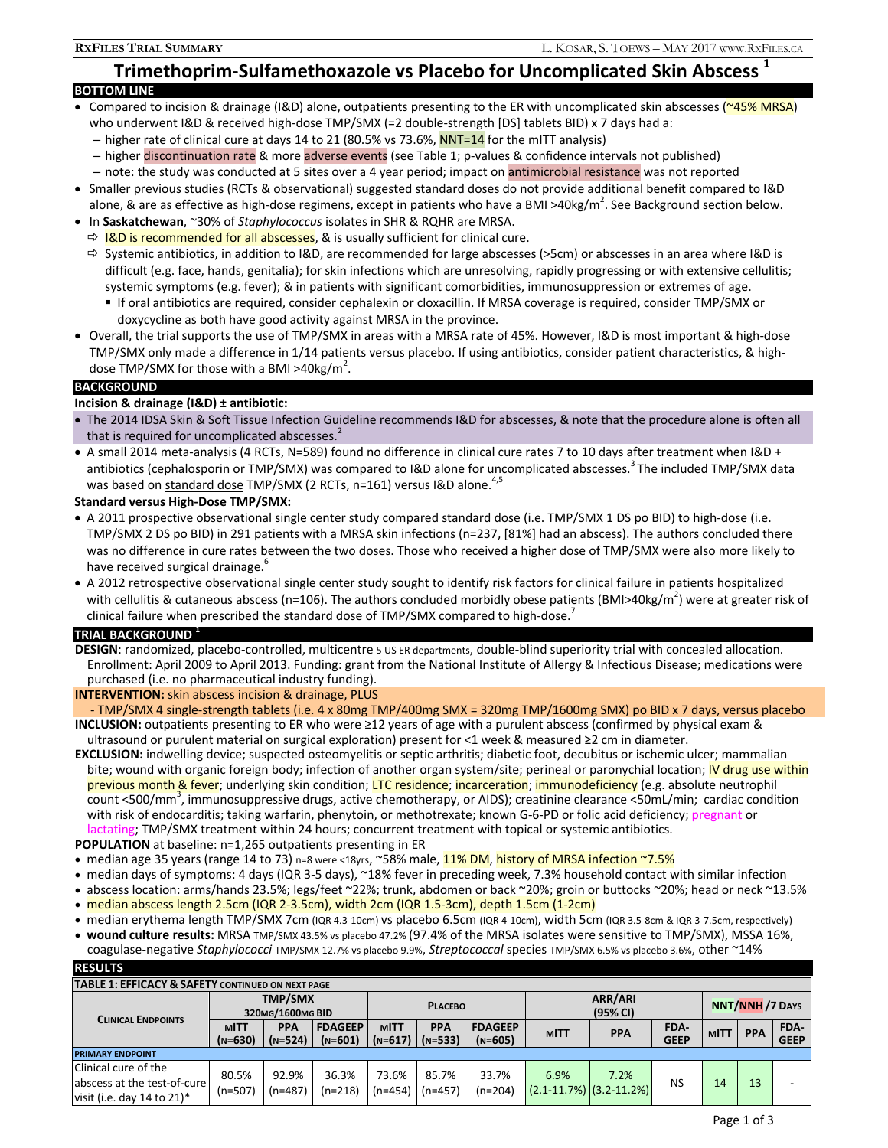# **Trimethoprim-Sulfamethoxazole vs Placebo for Uncomplicated Skin Abscess 1**

# **BOTTOM LINE**

- $\bullet$  Compared to incision & drainage (I&D) alone, outpatients presenting to the ER with uncomplicated skin abscesses ( $\sim$ 45% MRSA) who underwent I&D & received high-dose TMP/SMX (=2 double-strength [DS] tablets BID) x 7 days had a:
	- higher rate of clinical cure at days 14 to 21 (80.5% vs 73.6%, NNT=14 for the mITT analysis)
	- higher discontinuation rate & more adverse events (see Table 1; p-values & confidence intervals not published)
	- note: the study was conducted at 5 sites over a 4 year period; impact on antimicrobial resistance was not reported
- Smaller previous studies (RCTs & observational) suggested standard doses do not provide additional benefit compared to I&D alone, & are as effective as high-dose regimens, except in patients who have a BMI >40kg/m<sup>2</sup>. See Background section below.
- In **Saskatchewan**, ~30% of *Staphylococcus* isolates in SHR & RQHR are MRSA.
- $\Rightarrow$  I&D is recommended for all abscesses, & is usually sufficient for clinical cure.
- $\Rightarrow$  Systemic antibiotics, in addition to I&D, are recommended for large abscesses (>5cm) or abscesses in an area where I&D is difficult (e.g. face, hands, genitalia); for skin infections which are unresolving, rapidly progressing or with extensive cellulitis; systemic symptoms (e.g. fever); & in patients with significant comorbidities, immunosuppression or extremes of age.
	- If oral antibiotics are required, consider cephalexin or cloxacillin. If MRSA coverage is required, consider TMP/SMX or doxycycline as both have good activity against MRSA in the province.
- Overall, the trial supports the use of TMP/SMX in areas with a MRSA rate of 45%. However, I&D is most important & high-dose TMP/SMX only made a difference in 1/14 patients versus placebo. If using antibiotics, consider patient characteristics, & highdose TMP/SMX for those with a BMI >40kg/m<sup>2</sup>.

# **BACKGROUND**

# **Incision & drainage (I&D) ± antibiotic:**

- The 2014 IDSA Skin & Soft Tissue Infection Guideline recommends I&D for abscesses, & note that the procedure alone is often all that is required for uncomplicated abscesses. $<sup>2</sup>$ </sup>
- A small 2014 meta-analysis (4 RCTs, N=589) found no difference in clinical cure rates 7 to 10 days after treatment when I&D + antibiotics (cephalosporin or TMP/SMX) was compared to I&D alone for uncomplicated abscesses.<sup>3</sup> The included TMP/SMX data was based on standard dose TMP/SMX (2 RCTs, n=161) versus I&D alone.<sup>4,5</sup>

# **Standard versus High-Dose TMP/SMX:**

- A 2011 prospective observational single center study compared standard dose (i.e. TMP/SMX 1 DS po BID) to high-dose (i.e. TMP/SMX 2 DS po BID) in 291 patients with a MRSA skin infections (n=237, [81%] had an abscess). The authors concluded there was no difference in cure rates between the two doses. Those who received a higher dose of TMP/SMX were also more likely to have received surgical drainage.<sup>6</sup>
- A 2012 retrospective observational single center study sought to identify risk factors for clinical failure in patients hospitalized with cellulitis & cutaneous abscess (n=106). The authors concluded morbidly obese patients (BMI>40kg/m<sup>2</sup>) were at greater risk of clinical failure when prescribed the standard dose of TMP/SMX compared to high-dose.<sup>4</sup>

### **TRIAL BACKGROUND <sup>1</sup>**

**DESIGN**: randomized, placebo-controlled, multicentre 5 US ER departments, double-blind superiority trial with concealed allocation. Enrollment: April 2009 to April 2013. Funding: grant from the National Institute of Allergy & Infectious Disease; medications were purchased (i.e. no pharmaceutical industry funding).

### **INTERVENTION:** skin abscess incision & drainage, PLUS

- TMP/SMX 4 single-strength tablets (i.e. 4 x 80mg TMP/400mg SMX = 320mg TMP/1600mg SMX) po BID x 7 days, versus placebo **INCLUSION:** outpatients presenting to ER who were ≥12 years of age with a purulent abscess (confirmed by physical exam & ultrasound or purulent material on surgical exploration) present for <1 week & measured ≥2 cm in diameter.

**EXCLUSION:** indwelling device; suspected osteomyelitis or septic arthritis; diabetic foot, decubitus or ischemic ulcer; mammalian bite; wound with organic foreign body; infection of another organ system/site; perineal or paronychial location; IV drug use within previous month & fever; underlying skin condition; LTC residence; incarceration; immunodeficiency (e.g. absolute neutrophil count <500/mm3 , immunosuppressive drugs, active chemotherapy, or AIDS); creatinine clearance <50mL/min; cardiac condition with risk of endocarditis; taking warfarin, phenytoin, or methotrexate; known G-6-PD or folic acid deficiency; pregnant or lactating; TMP/SMX treatment within 24 hours; concurrent treatment with topical or systemic antibiotics.

**POPULATION** at baseline: n=1,265 outpatients presenting in ER

- median age 35 years (range 14 to 73) n=8 were <18yrs, ~58% male, 11% DM, history of MRSA infection ~7.5%
- median days of symptoms: 4 days (IQR 3-5 days), ~18% fever in preceding week, 7.3% household contact with similar infection
- abscess location: arms/hands 23.5%; legs/feet ~22%; trunk, abdomen or back ~20%; groin or buttocks ~20%; head or neck ~13.5%
- median abscess length 2.5cm (IQR 2-3.5cm), width 2cm (IQR 1.5-3cm), depth 1.5cm (1-2cm)
- median erythema length TMP/SMX 7cm (IQR 4.3-10cm) vs placebo 6.5cm (IQR 4-10cm), width 5cm (IQR 3.5-8cm & IQR 3-7.5cm, respectively)
- **wound culture results:** MRSA TMP/SMX 43.5% vs placebo 47.2% (97.4% of the MRSA isolates were sensitive to TMP/SMX), MSSA 16%, coagulase-negative *Staphylococci* TMP/SMX 12.7% vs placebo 9.9%, *Streptococcal* species TMP/SMX 6.5% vs placebo 3.6%, other ~14% **RESULTS**

| nljvlij                                                                              |                                    |                         |                             |                  |                                   |                             |                                         |            |                     |                       |            |                     |
|--------------------------------------------------------------------------------------|------------------------------------|-------------------------|-----------------------------|------------------|-----------------------------------|-----------------------------|-----------------------------------------|------------|---------------------|-----------------------|------------|---------------------|
| TABLE 1: EFFICACY & SAFETY CONTINUED ON NEXT PAGE                                    |                                    |                         |                             |                  |                                   |                             |                                         |            |                     |                       |            |                     |
| CLINICAL ENDPOINTS                                                                   | <b>TMP/SMX</b><br>320MG/1600MG BID |                         |                             | <b>PLACEBO</b>   |                                   |                             | ARR/ARI<br>(95% CI)                     |            |                     | <b>NNT/NNH/7 DAYS</b> |            |                     |
|                                                                                      | MITT<br>(N=630)                    | <b>PPA</b><br>$(N=524)$ | <b>FDAGEEP</b><br>$(N=601)$ | <b>MITT</b>      | <b>PPA</b><br>$(N=617)$ $(N=533)$ | <b>FDAGEEP</b><br>$(N=605)$ | <b>MITT</b>                             | <b>PPA</b> | FDA-<br><b>GEEP</b> | <b>MITT</b>           | <b>PPA</b> | FDA-<br><b>GEEP</b> |
| <b>PRIMARY ENDPOINT</b>                                                              |                                    |                         |                             |                  |                                   |                             |                                         |            |                     |                       |            |                     |
| Clinical cure of the<br>abscess at the test-of-cure<br>visit (i.e. day 14 to $21$ )* | 80.5%<br>$(n=507)$                 | 92.9%<br>$(n=487)$      | 36.3%<br>(n=218)            | 73.6%<br>(n=454) | 85.7%<br>$(n=457)$                | 33.7%<br>$(n=204)$          | 6.9%<br>$(2.1 - 11.7%)$ $(3.2 - 11.2%)$ | 7.2%       | <b>NS</b>           | 14                    | 13         |                     |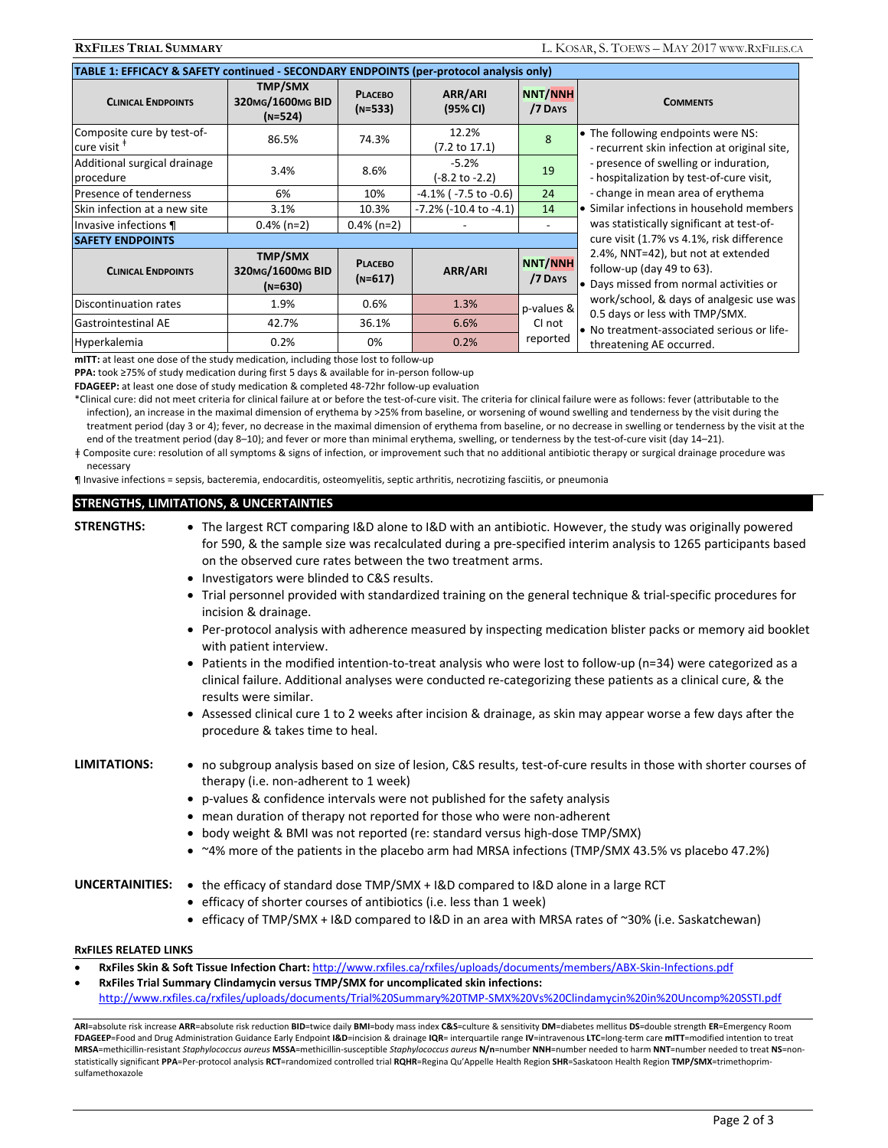| TABLE 1: EFFICACY & SAFETY continued - SECONDARY ENDPOINTS (per-protocol analysis only) |                                                 |                             |                                   |                                  |                                                                                                                                                                                                                                        |  |  |  |  |  |
|-----------------------------------------------------------------------------------------|-------------------------------------------------|-----------------------------|-----------------------------------|----------------------------------|----------------------------------------------------------------------------------------------------------------------------------------------------------------------------------------------------------------------------------------|--|--|--|--|--|
| <b>CLINICAL ENDPOINTS</b>                                                               | <b>TMP/SMX</b><br>320MG/1600MG BID<br>$(N=524)$ | <b>PLACEBO</b><br>$(N=533)$ | ARR/ARI<br>(95% CI)               | NNT/NNH<br>/7 DAYS               | <b>COMMENTS</b>                                                                                                                                                                                                                        |  |  |  |  |  |
| Composite cure by test-of-<br>$l$ cure visit $^*$                                       | 86.5%                                           | 74.3%                       | 12.2%<br>$(7.2 \text{ to } 17.1)$ | 8                                | • The following endpoints were NS:<br>- recurrent skin infection at original site,                                                                                                                                                     |  |  |  |  |  |
| Additional surgical drainage<br>procedure                                               | 3.4%                                            | 8.6%                        | $-5.2%$<br>(-8.2 to -2.2)         | 19                               | - presence of swelling or induration,<br>- hospitalization by test-of-cure visit,                                                                                                                                                      |  |  |  |  |  |
| Presence of tenderness                                                                  | 6%                                              | 10%                         | $-4.1\%$ ( $-7.5$ to $-0.6$ )     | 24                               | - change in mean area of erythema                                                                                                                                                                                                      |  |  |  |  |  |
| Skin infection at a new site                                                            | 3.1%                                            | 10.3%                       | $-7.2\%$ ( $-10.4$ to $-4.1$ )    | 14                               | • Similar infections in household members                                                                                                                                                                                              |  |  |  |  |  |
| $0.4\%$ (n=2)<br>Invasive infections ¶                                                  |                                                 | $0.4\%$ (n=2)               |                                   |                                  | was statistically significant at test-of-                                                                                                                                                                                              |  |  |  |  |  |
| <b>SAFETY ENDPOINTS</b>                                                                 | cure visit (1.7% vs 4.1%, risk difference       |                             |                                   |                                  |                                                                                                                                                                                                                                        |  |  |  |  |  |
| <b>CLINICAL ENDPOINTS</b>                                                               | <b>TMP/SMX</b><br>320MG/1600MG BID<br>$(N=630)$ | <b>PLACEBO</b><br>$(N=617)$ | ARR/ARI                           | <b>NNT/NNH</b><br>/7 DAYS        | 2.4%, NNT=42), but not at extended<br>follow-up (day 49 to 63).<br>• Days missed from normal activities or<br>work/school, & days of analgesic use was<br>0.5 days or less with TMP/SMX.<br>• No treatment-associated serious or life- |  |  |  |  |  |
| Discontinuation rates                                                                   | 1.9%                                            | 0.6%                        | 1.3%                              | p-values &<br>CI not<br>reported |                                                                                                                                                                                                                                        |  |  |  |  |  |
| <b>Gastrointestinal AE</b>                                                              | 42.7%                                           | 36.1%                       | 6.6%                              |                                  |                                                                                                                                                                                                                                        |  |  |  |  |  |
| Hyperkalemia                                                                            | 0.2%                                            | 0%                          | 0.2%                              |                                  | threatening AE occurred.                                                                                                                                                                                                               |  |  |  |  |  |

**mITT:** at least one dose of the study medication, including those lost to follow-up

**PPA:** took ≥75% of study medication during first 5 days & available for in-person follow-up

**FDAGEEP:** at least one dose of study medication & completed 48-72hr follow-up evaluation

\*Clinical cure: did not meet criteria for clinical failure at or before the test-of-cure visit. The criteria for clinical failure were as follows: fever (attributable to the infection), an increase in the maximal dimension of erythema by >25% from baseline, or worsening of wound swelling and tenderness by the visit during the treatment period (day 3 or 4); fever, no decrease in the maximal dimension of erythema from baseline, or no decrease in swelling or tenderness by the visit at the end of the treatment period (day 8–10); and fever or more than minimal erythema, swelling, or tenderness by the test-of-cure visit (day 14–21).

ǂ Composite cure: resolution of all symptoms & signs of infection, or improvement such that no additional antibiotic therapy or surgical drainage procedure was necessary

¶ Invasive infections = sepsis, bacteremia, endocarditis, osteomyelitis, septic arthritis, necrotizing fasciitis, or pneumonia

### **STRENGTHS, LIMITATIONS, & UNCERTAINTIES**

**STRENGTHS:**  The largest RCT comparing I&D alone to I&D with an antibiotic. However, the study was originally powered for 590, & the sample size was recalculated during a pre-specified interim analysis to 1265 participants based on the observed cure rates between the two treatment arms.

- Investigators were blinded to C&S results.
- Trial personnel provided with standardized training on the general technique & trial-specific procedures for incision & drainage.
- Per-protocol analysis with adherence measured by inspecting medication blister packs or memory aid booklet with patient interview.
- Patients in the modified intention-to-treat analysis who were lost to follow-up (n=34) were categorized as a clinical failure. Additional analyses were conducted re-categorizing these patients as a clinical cure, & the results were similar.
- Assessed clinical cure 1 to 2 weeks after incision & drainage, as skin may appear worse a few days after the procedure & takes time to heal.

- **LIMITATIONS:**  no subgroup analysis based on size of lesion, C&S results, test-of-cure results in those with shorter courses of therapy (i.e. non-adherent to 1 week)
	- p-values & confidence intervals were not published for the safety analysis
	- mean duration of therapy not reported for those who were non-adherent
	- body weight & BMI was not reported (re: standard versus high-dose TMP/SMX)
	- ~4% more of the patients in the placebo arm had MRSA infections (TMP/SMX 43.5% vs placebo 47.2%)

- UNCERTAINITIES: . the efficacy of standard dose TMP/SMX + I&D compared to I&D alone in a large RCT
	- efficacy of shorter courses of antibiotics (i.e. less than 1 week)
	- efficacy of TMP/SMX + I&D compared to I&D in an area with MRSA rates of ~30% (i.e. Saskatchewan)

### **RxFILES RELATED LINKS**

- **RxFiles Skin & Soft Tissue Infection Chart:** http://www.rxfiles.ca/rxfiles/uploads/documents/members/ABX-Skin-Infections.pdf
	- **RxFiles Trial Summary Clindamycin versus TMP/SMX for uncomplicated skin infections:**

http://www.rxfiles.ca/rxfiles/uploads/documents/Trial%20Summary%20TMP-SMX%20Vs%20Clindamycin%20in%20Uncomp%20SSTI.pdf

ARI=absolute risk increase ARR=absolute risk reduction BID=twice daily BMI=body mass index C&S=culture & sensitivity DM=diabetes mellitus DS=double strength ER=Emergency Room **FDAGEEP**=Food and Drug Administration Guidance Early Endpoint **I&D**=incision & drainage **IQR**= interquartile range **IV**=intravenous **LTC**=long-term care **mITT**=modified intention to treat MRSA=methicillin-resistant Staphylococcus aureus MSSA=methicillin-susceptible Staphylococcus aureus N/n=number NNH=number needed to harm NNT=number needed to treat NS=nonstatistically significant **PPA**=Per-protocol analysis **RCT**=randomized controlled trial **RQHR**=Regina Qu'Appelle Health Region **SHR**=Saskatoon Health Region **TMP/SMX**=trimethoprimsulfamethoxazole